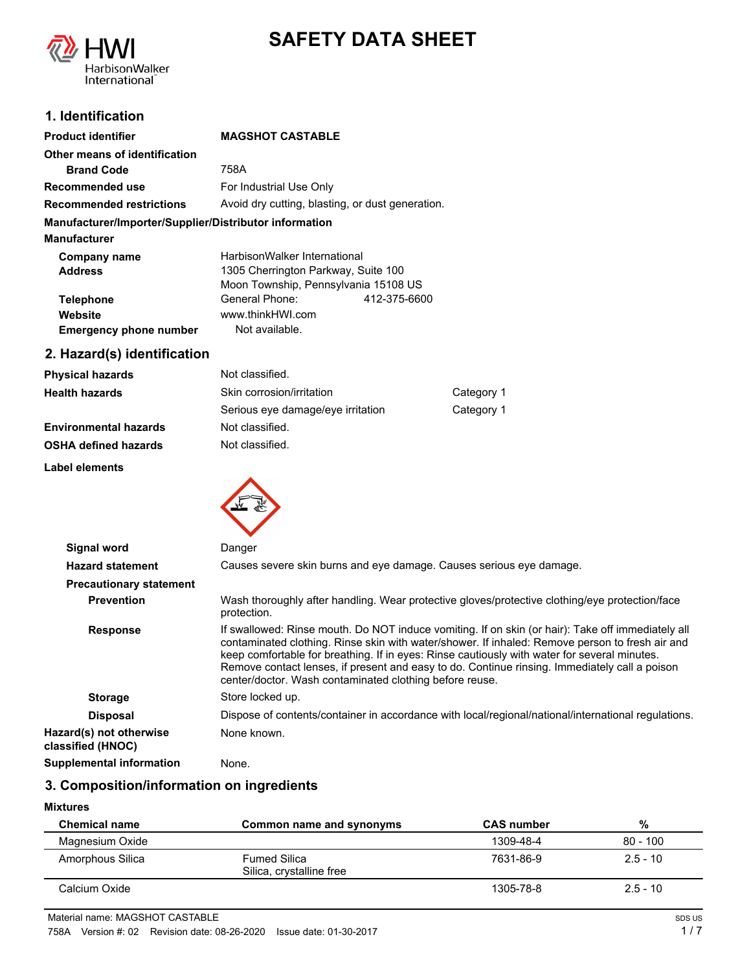

# **SAFETY DATA SHEET**

# **1. Identification**

| <b>Product identifier</b>                              | <b>MAGSHOT CASTABLE</b>                          |              |
|--------------------------------------------------------|--------------------------------------------------|--------------|
| Other means of identification                          |                                                  |              |
| <b>Brand Code</b>                                      | 758A                                             |              |
| Recommended use                                        | For Industrial Use Only                          |              |
| <b>Recommended restrictions</b>                        | Avoid dry cutting, blasting, or dust generation. |              |
| Manufacturer/Importer/Supplier/Distributor information |                                                  |              |
| <b>Manufacturer</b>                                    |                                                  |              |
| Company name                                           | HarbisonWalker International                     |              |
| <b>Address</b>                                         | 1305 Cherrington Parkway, Suite 100              |              |
|                                                        | Moon Township, Pennsylvania 15108 US             |              |
| <b>Telephone</b>                                       | General Phone:                                   | 412-375-6600 |
| Website                                                | www.thinkHWI.com                                 |              |
| <b>Emergency phone number</b>                          | Not available.                                   |              |

# **2. Hazard(s) identification**

| <b>Physical hazards</b>      | Not classified.                   |            |
|------------------------------|-----------------------------------|------------|
| <b>Health hazards</b>        | Skin corrosion/irritation         | Category 1 |
|                              | Serious eye damage/eye irritation | Category 1 |
| <b>Environmental hazards</b> | Not classified.                   |            |
| <b>OSHA defined hazards</b>  | Not classified.                   |            |

**Label elements**



| Signal word                                  | Danger                                                                                                                                                                                                                                                                                                                                                                                                                                                           |
|----------------------------------------------|------------------------------------------------------------------------------------------------------------------------------------------------------------------------------------------------------------------------------------------------------------------------------------------------------------------------------------------------------------------------------------------------------------------------------------------------------------------|
| <b>Hazard statement</b>                      | Causes severe skin burns and eye damage. Causes serious eye damage.                                                                                                                                                                                                                                                                                                                                                                                              |
| <b>Precautionary statement</b>               |                                                                                                                                                                                                                                                                                                                                                                                                                                                                  |
| <b>Prevention</b>                            | Wash thoroughly after handling. Wear protective gloves/protective clothing/eye protection/face<br>protection.                                                                                                                                                                                                                                                                                                                                                    |
| <b>Response</b>                              | If swallowed: Rinse mouth. Do NOT induce vomiting. If on skin (or hair): Take off immediately all<br>contaminated clothing. Rinse skin with water/shower. If inhaled: Remove person to fresh air and<br>keep comfortable for breathing. If in eyes: Rinse cautiously with water for several minutes.<br>Remove contact lenses, if present and easy to do. Continue rinsing. Immediately call a poison<br>center/doctor. Wash contaminated clothing before reuse. |
| <b>Storage</b>                               | Store locked up.                                                                                                                                                                                                                                                                                                                                                                                                                                                 |
| <b>Disposal</b>                              | Dispose of contents/container in accordance with local/regional/national/international regulations.                                                                                                                                                                                                                                                                                                                                                              |
| Hazard(s) not otherwise<br>classified (HNOC) | None known.                                                                                                                                                                                                                                                                                                                                                                                                                                                      |
| <b>Supplemental information</b>              | None.                                                                                                                                                                                                                                                                                                                                                                                                                                                            |

# **3. Composition/information on ingredients**

#### **Mixtures**

| <b>Chemical name</b> | Common name and synonyms                        | <b>CAS</b> number | %          |
|----------------------|-------------------------------------------------|-------------------|------------|
| Magnesium Oxide      |                                                 | 1309-48-4         | $80 - 100$ |
| Amorphous Silica     | <b>Fumed Silica</b><br>Silica, crystalline free | 7631-86-9         | $2.5 - 10$ |
| Calcium Oxide        |                                                 | 1305-78-8         | $2.5 - 10$ |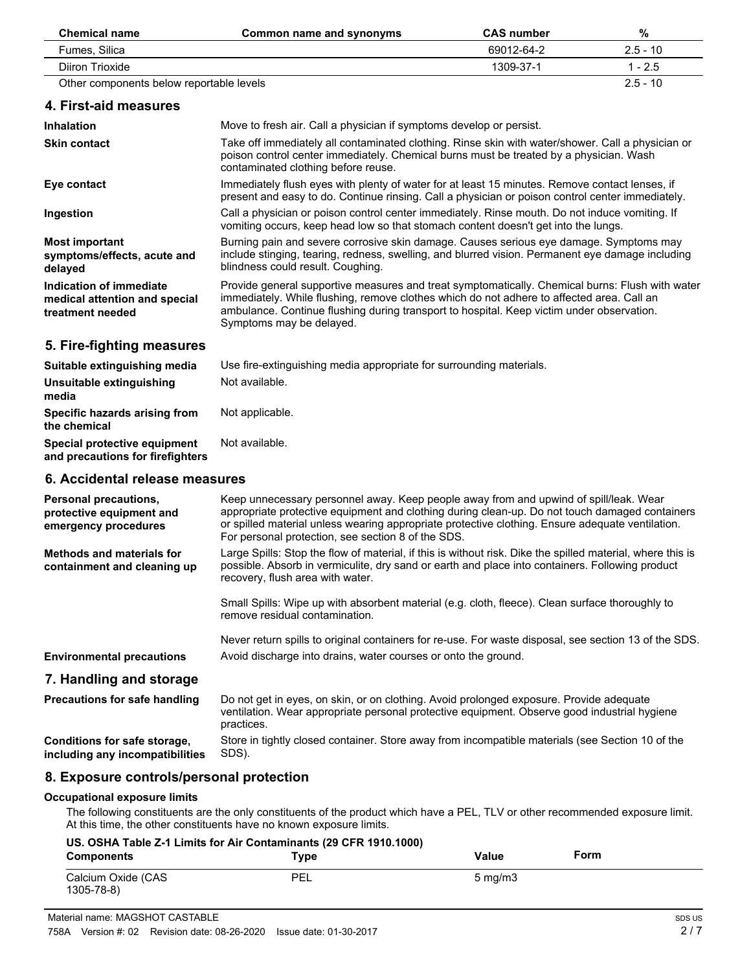| <b>Chemical name</b>                                                                | Common name and synonyms                                                                                                                                                                                                                                                                                                                          | <b>CAS number</b> | %          |
|-------------------------------------------------------------------------------------|---------------------------------------------------------------------------------------------------------------------------------------------------------------------------------------------------------------------------------------------------------------------------------------------------------------------------------------------------|-------------------|------------|
| Fumes, Silica                                                                       |                                                                                                                                                                                                                                                                                                                                                   | 69012-64-2        | $2.5 - 10$ |
| Diiron Trioxide                                                                     |                                                                                                                                                                                                                                                                                                                                                   | 1309-37-1         | $1 - 2.5$  |
| Other components below reportable levels                                            |                                                                                                                                                                                                                                                                                                                                                   |                   | $2.5 - 10$ |
| 4. First-aid measures                                                               |                                                                                                                                                                                                                                                                                                                                                   |                   |            |
| <b>Inhalation</b>                                                                   | Move to fresh air. Call a physician if symptoms develop or persist.                                                                                                                                                                                                                                                                               |                   |            |
| <b>Skin contact</b>                                                                 | Take off immediately all contaminated clothing. Rinse skin with water/shower. Call a physician or<br>poison control center immediately. Chemical burns must be treated by a physician. Wash<br>contaminated clothing before reuse.                                                                                                                |                   |            |
| Eye contact                                                                         | Immediately flush eyes with plenty of water for at least 15 minutes. Remove contact lenses, if<br>present and easy to do. Continue rinsing. Call a physician or poison control center immediately.                                                                                                                                                |                   |            |
| Ingestion                                                                           | Call a physician or poison control center immediately. Rinse mouth. Do not induce vomiting. If<br>vomiting occurs, keep head low so that stomach content doesn't get into the lungs.                                                                                                                                                              |                   |            |
| <b>Most important</b><br>symptoms/effects, acute and<br>delayed                     | Burning pain and severe corrosive skin damage. Causes serious eye damage. Symptoms may<br>include stinging, tearing, redness, swelling, and blurred vision. Permanent eye damage including<br>blindness could result. Coughing.                                                                                                                   |                   |            |
| <b>Indication of immediate</b><br>medical attention and special<br>treatment needed | Provide general supportive measures and treat symptomatically. Chemical burns: Flush with water<br>immediately. While flushing, remove clothes which do not adhere to affected area. Call an<br>ambulance. Continue flushing during transport to hospital. Keep victim under observation.<br>Symptoms may be delayed.                             |                   |            |
| 5. Fire-fighting measures                                                           |                                                                                                                                                                                                                                                                                                                                                   |                   |            |
| Suitable extinguishing media                                                        | Use fire-extinguishing media appropriate for surrounding materials.                                                                                                                                                                                                                                                                               |                   |            |
| Unsuitable extinguishing<br>media                                                   | Not available.                                                                                                                                                                                                                                                                                                                                    |                   |            |
| Specific hazards arising from<br>the chemical                                       | Not applicable.                                                                                                                                                                                                                                                                                                                                   |                   |            |
| Special protective equipment<br>and precautions for firefighters                    | Not available.                                                                                                                                                                                                                                                                                                                                    |                   |            |
| 6. Accidental release measures                                                      |                                                                                                                                                                                                                                                                                                                                                   |                   |            |
| Personal precautions,<br>protective equipment and<br>emergency procedures           | Keep unnecessary personnel away. Keep people away from and upwind of spill/leak. Wear<br>appropriate protective equipment and clothing during clean-up. Do not touch damaged containers<br>or spilled material unless wearing appropriate protective clothing. Ensure adequate ventilation.<br>For personal protection, see section 8 of the SDS. |                   |            |
| <b>Methods and materials for</b><br>containment and cleaning up                     | Large Spills: Stop the flow of material, if this is without risk. Dike the spilled material, where this is<br>possible. Absorb in vermiculite, dry sand or earth and place into containers. Following product<br>recovery, flush area with water.                                                                                                 |                   |            |
|                                                                                     | Small Spills: Wipe up with absorbent material (e.g. cloth, fleece). Clean surface thoroughly to<br>remove residual contamination.                                                                                                                                                                                                                 |                   |            |
|                                                                                     | Never return spills to original containers for re-use. For waste disposal, see section 13 of the SDS.                                                                                                                                                                                                                                             |                   |            |
| <b>Environmental precautions</b>                                                    | Avoid discharge into drains, water courses or onto the ground.                                                                                                                                                                                                                                                                                    |                   |            |
| 7. Handling and storage                                                             |                                                                                                                                                                                                                                                                                                                                                   |                   |            |
| <b>Precautions for safe handling</b>                                                | Do not get in eyes, on skin, or on clothing. Avoid prolonged exposure. Provide adequate                                                                                                                                                                                                                                                           |                   |            |

practices. Store in tightly closed container. Store away from incompatible materials (see Section 10 of the SDS). **Conditions for safe storage, including any incompatibilities**

## **8. Exposure controls/personal protection**

#### **Occupational exposure limits**

The following constituents are the only constituents of the product which have a PEL, TLV or other recommended exposure limit. At this time, the other constituents have no known exposure limits.

ventilation. Wear appropriate personal protective equipment. Observe good industrial hygiene

| US. OSHA Table Z-1 Limits for Air Contaminants (29 CFR 1910.1000) |      |                    |      |  |
|-------------------------------------------------------------------|------|--------------------|------|--|
| <b>Components</b>                                                 | Type | Value              | Form |  |
| Calcium Oxide (CAS<br>1305-78-8)                                  | PEL  | $5 \text{ ma/m}$ 3 |      |  |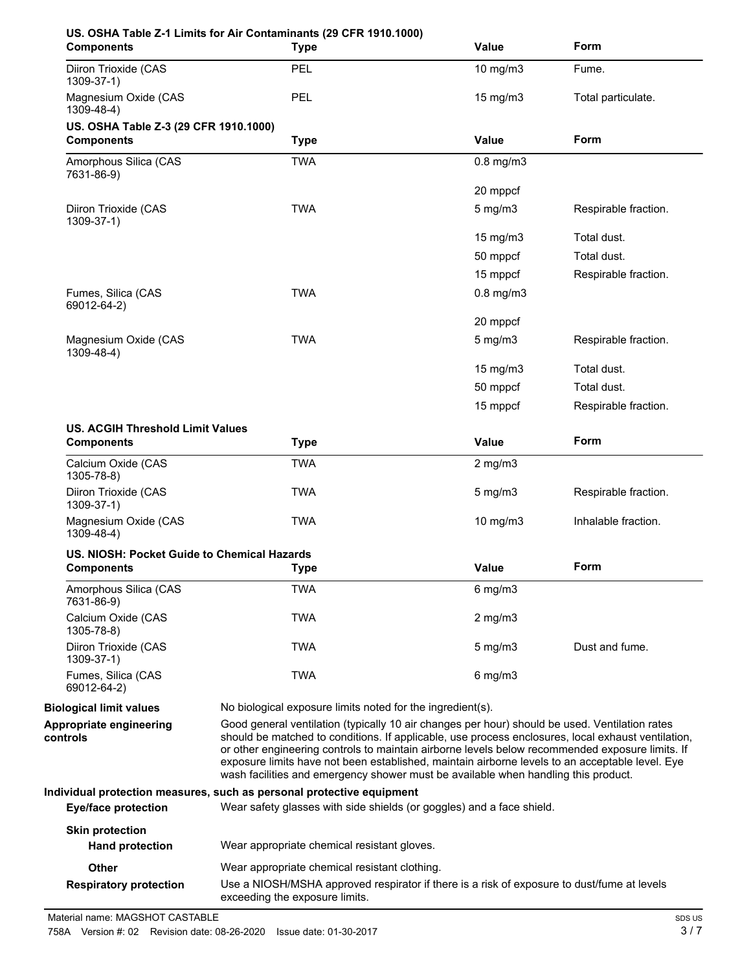| <b>Components</b>                                            | US. OSHA Table Z-1 Limits for Air Contaminants (29 CFR 1910.1000)<br><b>Type</b>                                                                                                                                                                                                                                                                                                                                                                                                                 | <b>Value</b>      | Form                 |
|--------------------------------------------------------------|--------------------------------------------------------------------------------------------------------------------------------------------------------------------------------------------------------------------------------------------------------------------------------------------------------------------------------------------------------------------------------------------------------------------------------------------------------------------------------------------------|-------------------|----------------------|
| Diiron Trioxide (CAS<br>1309-37-1)                           | PEL                                                                                                                                                                                                                                                                                                                                                                                                                                                                                              | 10 mg/m3          | Fume.                |
| Magnesium Oxide (CAS<br>1309-48-4)                           | PEL                                                                                                                                                                                                                                                                                                                                                                                                                                                                                              | 15 mg/m3          | Total particulate.   |
| US. OSHA Table Z-3 (29 CFR 1910.1000)<br><b>Components</b>   | <b>Type</b>                                                                                                                                                                                                                                                                                                                                                                                                                                                                                      | Value             | Form                 |
| Amorphous Silica (CAS<br>7631-86-9)                          | <b>TWA</b>                                                                                                                                                                                                                                                                                                                                                                                                                                                                                       | $0.8$ mg/m $3$    |                      |
|                                                              |                                                                                                                                                                                                                                                                                                                                                                                                                                                                                                  | 20 mppcf          |                      |
| Diiron Trioxide (CAS<br>1309-37-1)                           | <b>TWA</b>                                                                                                                                                                                                                                                                                                                                                                                                                                                                                       | $5$ mg/m $3$      | Respirable fraction. |
|                                                              |                                                                                                                                                                                                                                                                                                                                                                                                                                                                                                  | 15 mg/m3          | Total dust.          |
|                                                              |                                                                                                                                                                                                                                                                                                                                                                                                                                                                                                  | 50 mppcf          | Total dust.          |
|                                                              |                                                                                                                                                                                                                                                                                                                                                                                                                                                                                                  | 15 mppcf          | Respirable fraction. |
| Fumes, Silica (CAS<br>69012-64-2)                            | <b>TWA</b>                                                                                                                                                                                                                                                                                                                                                                                                                                                                                       | $0.8$ mg/m $3$    |                      |
|                                                              |                                                                                                                                                                                                                                                                                                                                                                                                                                                                                                  | 20 mppcf          |                      |
| Magnesium Oxide (CAS<br>$1309 - 48 - 4$ )                    | <b>TWA</b>                                                                                                                                                                                                                                                                                                                                                                                                                                                                                       | $5 \text{ mg/m}$  | Respirable fraction. |
|                                                              |                                                                                                                                                                                                                                                                                                                                                                                                                                                                                                  | $15 \text{ mg/m}$ | Total dust.          |
|                                                              |                                                                                                                                                                                                                                                                                                                                                                                                                                                                                                  | 50 mppcf          | Total dust.          |
|                                                              |                                                                                                                                                                                                                                                                                                                                                                                                                                                                                                  | 15 mppcf          | Respirable fraction. |
| <b>US. ACGIH Threshold Limit Values</b><br><b>Components</b> | <b>Type</b>                                                                                                                                                                                                                                                                                                                                                                                                                                                                                      | <b>Value</b>      | Form                 |
| Calcium Oxide (CAS<br>$1305 - 78 - 8$                        | <b>TWA</b>                                                                                                                                                                                                                                                                                                                                                                                                                                                                                       | $2$ mg/m $3$      |                      |
| Diiron Trioxide (CAS<br>1309-37-1)                           | <b>TWA</b>                                                                                                                                                                                                                                                                                                                                                                                                                                                                                       | 5 mg/m3           | Respirable fraction. |
| Magnesium Oxide (CAS<br>1309-48-4)                           | <b>TWA</b>                                                                                                                                                                                                                                                                                                                                                                                                                                                                                       | 10 mg/m3          | Inhalable fraction.  |
| US. NIOSH: Pocket Guide to Chemical Hazards                  |                                                                                                                                                                                                                                                                                                                                                                                                                                                                                                  |                   |                      |
| <b>Components</b>                                            | <b>Type</b>                                                                                                                                                                                                                                                                                                                                                                                                                                                                                      | <b>Value</b>      | Form                 |
| Amorphous Silica (CAS<br>7631-86-9)                          | <b>TWA</b>                                                                                                                                                                                                                                                                                                                                                                                                                                                                                       | $6$ mg/m $3$      |                      |
| Calcium Oxide (CAS<br>1305-78-8)                             | <b>TWA</b>                                                                                                                                                                                                                                                                                                                                                                                                                                                                                       | $2$ mg/m $3$      |                      |
| Diiron Trioxide (CAS<br>$1309 - 37 - 1$                      | <b>TWA</b>                                                                                                                                                                                                                                                                                                                                                                                                                                                                                       | $5$ mg/m $3$      | Dust and fume.       |
| Fumes, Silica (CAS<br>69012-64-2)                            | <b>TWA</b>                                                                                                                                                                                                                                                                                                                                                                                                                                                                                       | $6$ mg/m $3$      |                      |
| <b>Biological limit values</b>                               | No biological exposure limits noted for the ingredient(s).                                                                                                                                                                                                                                                                                                                                                                                                                                       |                   |                      |
| Appropriate engineering<br>controls                          | Good general ventilation (typically 10 air changes per hour) should be used. Ventilation rates<br>should be matched to conditions. If applicable, use process enclosures, local exhaust ventilation,<br>or other engineering controls to maintain airborne levels below recommended exposure limits. If<br>exposure limits have not been established, maintain airborne levels to an acceptable level. Eye<br>wash facilities and emergency shower must be available when handling this product. |                   |                      |
|                                                              | Individual protection measures, such as personal protective equipment                                                                                                                                                                                                                                                                                                                                                                                                                            |                   |                      |
| <b>Eye/face protection</b>                                   | Wear safety glasses with side shields (or goggles) and a face shield.                                                                                                                                                                                                                                                                                                                                                                                                                            |                   |                      |
| <b>Skin protection</b><br><b>Hand protection</b>             | Wear appropriate chemical resistant gloves.                                                                                                                                                                                                                                                                                                                                                                                                                                                      |                   |                      |
| Other                                                        | Wear appropriate chemical resistant clothing.                                                                                                                                                                                                                                                                                                                                                                                                                                                    |                   |                      |
| <b>Respiratory protection</b>                                | Use a NIOSH/MSHA approved respirator if there is a risk of exposure to dust/fume at levels<br>exceeding the exposure limits.                                                                                                                                                                                                                                                                                                                                                                     |                   |                      |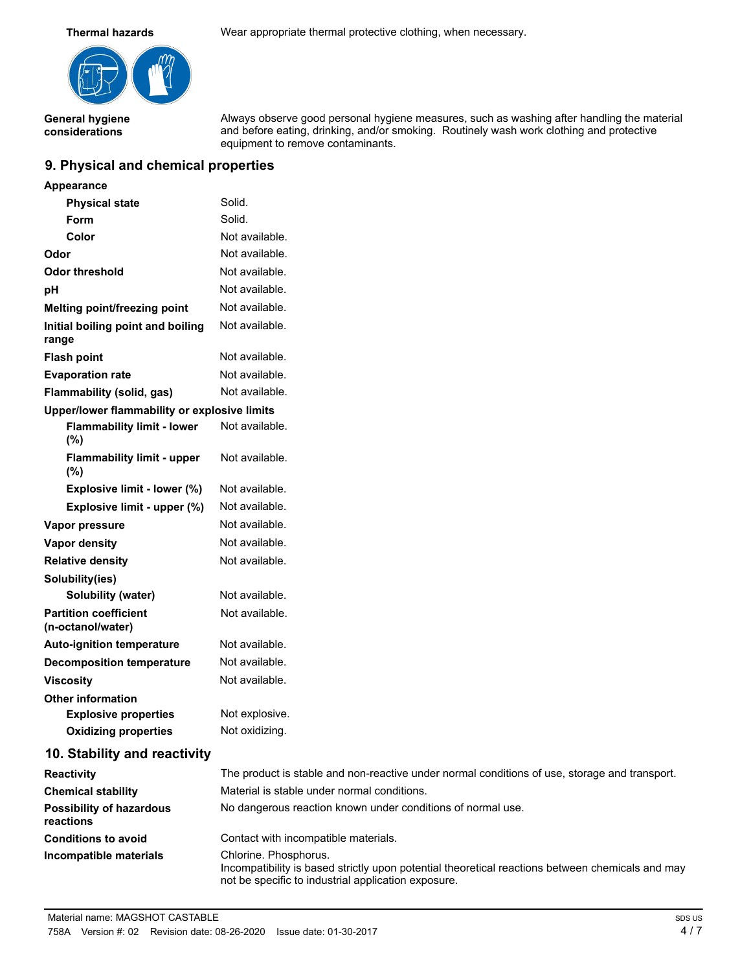

**General hygiene considerations**

**Thermal hazards** Wear appropriate thermal protective clothing, when necessary.

Always observe good personal hygiene measures, such as washing after handling the material and before eating, drinking, and/or smoking. Routinely wash work clothing and protective equipment to remove contaminants.

## **9. Physical and chemical properties**

| Appearance                                        |                |
|---------------------------------------------------|----------------|
| <b>Physical state</b>                             | Solid.         |
| Form                                              | Solid.         |
| Color                                             | Not available. |
| Odor                                              | Not available. |
| Odor threshold                                    | Not available. |
| рH                                                | Not available. |
| Melting point/freezing point                      | Not available. |
| Initial boiling point and boiling<br>range        | Not available. |
| <b>Flash point</b>                                | Not available. |
| <b>Evaporation rate</b>                           | Not available. |
| Flammability (solid, gas)                         | Not available. |
| Upper/lower flammability or explosive limits      |                |
| <b>Flammability limit - lower</b><br>$(\%)$       | Not available. |
| <b>Flammability limit - upper</b><br>$(\%)$       | Not available. |
| Explosive limit - lower (%)                       | Not available. |
| Explosive limit - upper (%)                       | Not available. |
| <b>Vapor pressure</b>                             | Not available. |
| Vapor density                                     | Not available. |
| <b>Relative density</b>                           | Not available. |
| Solubility(ies)                                   |                |
| <b>Solubility (water)</b>                         | Not available. |
| <b>Partition coefficient</b><br>(n-octanol/water) | Not available. |
| <b>Auto-ignition temperature</b>                  | Not available. |
| <b>Decomposition temperature</b>                  | Not available. |
| <b>Viscosity</b>                                  | Not available. |
| <b>Other information</b>                          |                |
| <b>Explosive properties</b>                       | Not explosive. |
| <b>Oxidizing properties</b>                       | Not oxidizina. |

## **10. Stability and reactivity**

| <b>Reactivity</b>                            | The product is stable and non-reactive under normal conditions of use, storage and transport.                                                                                    |
|----------------------------------------------|----------------------------------------------------------------------------------------------------------------------------------------------------------------------------------|
| <b>Chemical stability</b>                    | Material is stable under normal conditions.                                                                                                                                      |
| <b>Possibility of hazardous</b><br>reactions | No dangerous reaction known under conditions of normal use.                                                                                                                      |
| <b>Conditions to avoid</b>                   | Contact with incompatible materials.                                                                                                                                             |
| Incompatible materials                       | Chlorine. Phosphorus.<br>Incompatibility is based strictly upon potential theoretical reactions between chemicals and may<br>not be specific to industrial application exposure. |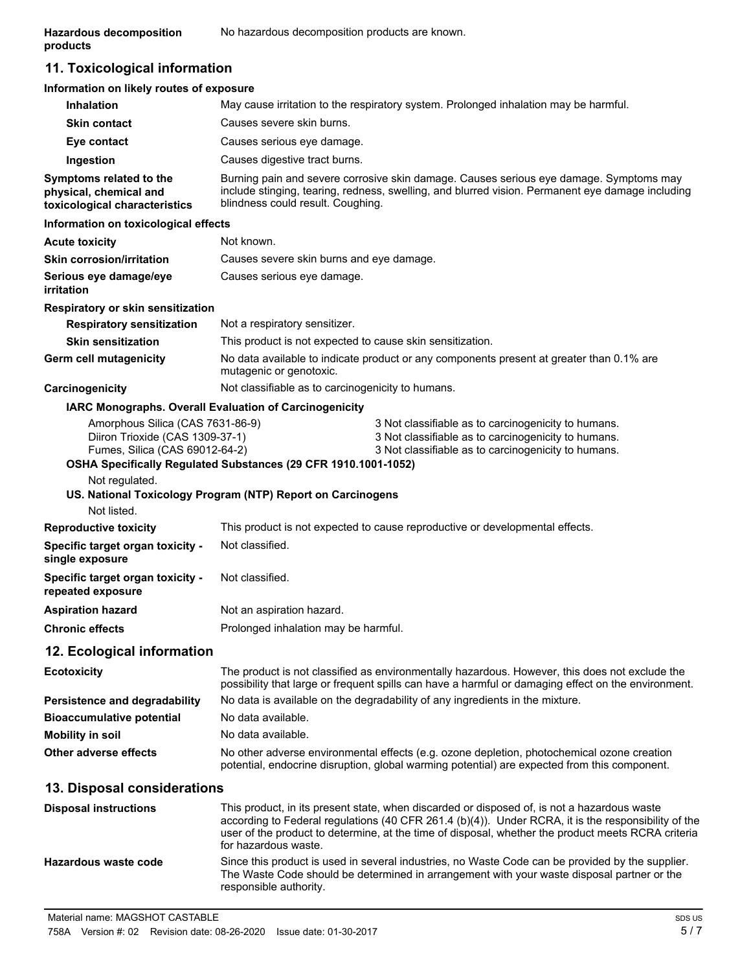## **11. Toxicological information**

## **Information on likely routes of exposure**

| <b>Inhalation</b>                                                                                                       |                                                                                                                               | May cause irritation to the respiratory system. Prolonged inhalation may be harmful.                                                                                                                                                                                                                     |
|-------------------------------------------------------------------------------------------------------------------------|-------------------------------------------------------------------------------------------------------------------------------|----------------------------------------------------------------------------------------------------------------------------------------------------------------------------------------------------------------------------------------------------------------------------------------------------------|
| <b>Skin contact</b>                                                                                                     | Causes severe skin burns.                                                                                                     |                                                                                                                                                                                                                                                                                                          |
| Eye contact                                                                                                             | Causes serious eye damage.                                                                                                    |                                                                                                                                                                                                                                                                                                          |
| Ingestion                                                                                                               | Causes digestive tract burns.                                                                                                 |                                                                                                                                                                                                                                                                                                          |
| Symptoms related to the<br>physical, chemical and<br>toxicological characteristics                                      | blindness could result. Coughing.                                                                                             | Burning pain and severe corrosive skin damage. Causes serious eye damage. Symptoms may<br>include stinging, tearing, redness, swelling, and blurred vision. Permanent eye damage including                                                                                                               |
| Information on toxicological effects                                                                                    |                                                                                                                               |                                                                                                                                                                                                                                                                                                          |
| <b>Acute toxicity</b>                                                                                                   | Not known.                                                                                                                    |                                                                                                                                                                                                                                                                                                          |
| <b>Skin corrosion/irritation</b>                                                                                        | Causes severe skin burns and eye damage.                                                                                      |                                                                                                                                                                                                                                                                                                          |
| Serious eye damage/eye<br>irritation                                                                                    | Causes serious eye damage.                                                                                                    |                                                                                                                                                                                                                                                                                                          |
| Respiratory or skin sensitization                                                                                       |                                                                                                                               |                                                                                                                                                                                                                                                                                                          |
| <b>Respiratory sensitization</b>                                                                                        | Not a respiratory sensitizer.                                                                                                 |                                                                                                                                                                                                                                                                                                          |
| <b>Skin sensitization</b>                                                                                               | This product is not expected to cause skin sensitization.                                                                     |                                                                                                                                                                                                                                                                                                          |
| Germ cell mutagenicity                                                                                                  | mutagenic or genotoxic.                                                                                                       | No data available to indicate product or any components present at greater than 0.1% are                                                                                                                                                                                                                 |
| <b>Carcinogenicity</b>                                                                                                  | Not classifiable as to carcinogenicity to humans.                                                                             |                                                                                                                                                                                                                                                                                                          |
| IARC Monographs. Overall Evaluation of Carcinogenicity                                                                  |                                                                                                                               |                                                                                                                                                                                                                                                                                                          |
| Amorphous Silica (CAS 7631-86-9)<br>Diiron Trioxide (CAS 1309-37-1)<br>Fumes, Silica (CAS 69012-64-2)<br>Not regulated. | OSHA Specifically Regulated Substances (29 CFR 1910.1001-1052)<br>US. National Toxicology Program (NTP) Report on Carcinogens | 3 Not classifiable as to carcinogenicity to humans.<br>3 Not classifiable as to carcinogenicity to humans.<br>3 Not classifiable as to carcinogenicity to humans.                                                                                                                                        |
| Not listed.                                                                                                             |                                                                                                                               |                                                                                                                                                                                                                                                                                                          |
| <b>Reproductive toxicity</b>                                                                                            |                                                                                                                               | This product is not expected to cause reproductive or developmental effects.                                                                                                                                                                                                                             |
| <b>Specific target organ toxicity -</b><br>single exposure                                                              | Not classified.                                                                                                               |                                                                                                                                                                                                                                                                                                          |
| <b>Specific target organ toxicity -</b><br>repeated exposure                                                            | Not classified.                                                                                                               |                                                                                                                                                                                                                                                                                                          |
| <b>Aspiration hazard</b>                                                                                                | Not an aspiration hazard.                                                                                                     |                                                                                                                                                                                                                                                                                                          |
| <b>Chronic effects</b>                                                                                                  | Prolonged inhalation may be harmful.                                                                                          |                                                                                                                                                                                                                                                                                                          |
| 12. Ecological information                                                                                              |                                                                                                                               |                                                                                                                                                                                                                                                                                                          |
| Ecotoxicity                                                                                                             |                                                                                                                               | The product is not classified as environmentally hazardous. However, this does not exclude the<br>possibility that large or frequent spills can have a harmful or damaging effect on the environment.                                                                                                    |
| <b>Persistence and degradability</b>                                                                                    |                                                                                                                               | No data is available on the degradability of any ingredients in the mixture.                                                                                                                                                                                                                             |
| <b>Bioaccumulative potential</b>                                                                                        | No data available.                                                                                                            |                                                                                                                                                                                                                                                                                                          |
| Mobility in soil                                                                                                        | No data available.                                                                                                            |                                                                                                                                                                                                                                                                                                          |
| Other adverse effects                                                                                                   |                                                                                                                               | No other adverse environmental effects (e.g. ozone depletion, photochemical ozone creation<br>potential, endocrine disruption, global warming potential) are expected from this component.                                                                                                               |
| 13. Disposal considerations                                                                                             |                                                                                                                               |                                                                                                                                                                                                                                                                                                          |
| <b>Disposal instructions</b>                                                                                            | for hazardous waste.                                                                                                          | This product, in its present state, when discarded or disposed of, is not a hazardous waste<br>according to Federal regulations (40 CFR 261.4 (b)(4)). Under RCRA, it is the responsibility of the<br>user of the product to determine, at the time of disposal, whether the product meets RCRA criteria |
| Hazardous waste code                                                                                                    |                                                                                                                               | Since this product is used in several industries, no Waste Code can be provided by the supplier.<br>The Waste Code should be determined in arrangement with your waste disposal partner or the                                                                                                           |

responsible authority.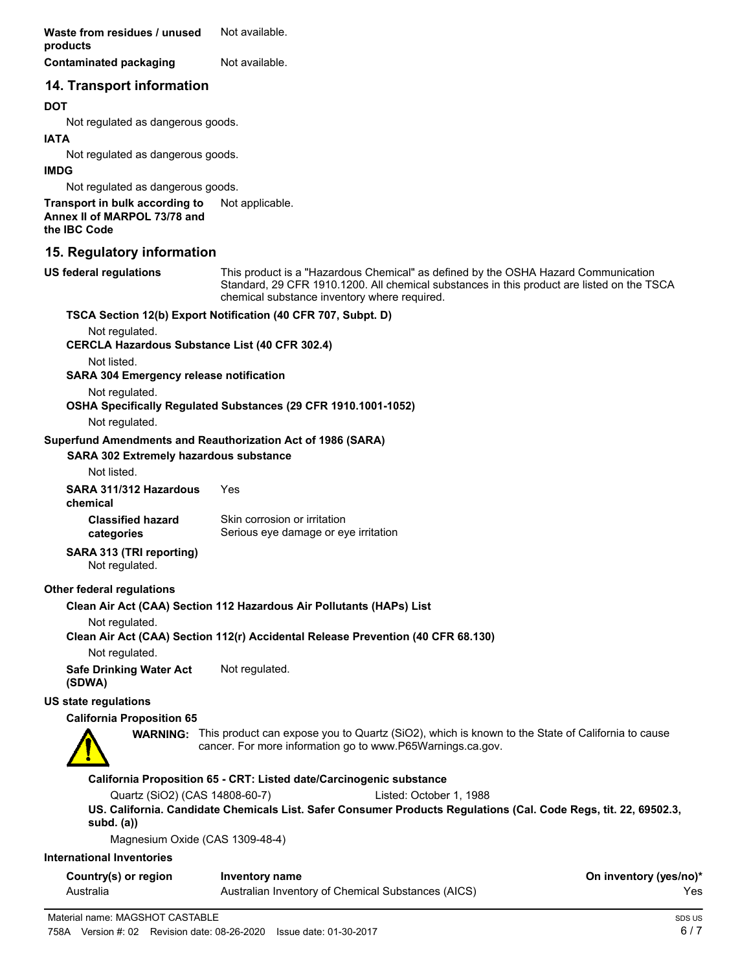**Waste from residues / unused** Not available. **products**

**Contaminated packaging Mot available.** 

**14. Transport information**

## **DOT**

Not regulated as dangerous goods.

#### **IATA**

Not regulated as dangerous goods.

#### **IMDG**

Not regulated as dangerous goods.

**Transport in bulk according to** Not applicable. **Annex II of MARPOL 73/78 and the IBC Code**

## **15. Regulatory information**

This product is a "Hazardous Chemical" as defined by the OSHA Hazard Communication Standard, 29 CFR 1910.1200. All chemical substances in this product are listed on the TSCA chemical substance inventory where required. **US federal regulations**

## **TSCA Section 12(b) Export Notification (40 CFR 707, Subpt. D)**

Not regulated.

**CERCLA Hazardous Substance List (40 CFR 302.4)**

Not listed.

**SARA 304 Emergency release notification**

Not regulated.

**OSHA Specifically Regulated Substances (29 CFR 1910.1001-1052)**

Not regulated.

#### **Superfund Amendments and Reauthorization Act of 1986 (SARA)**

#### **SARA 302 Extremely hazardous substance**

Not listed.

**SARA 311/312 Hazardous** Yes

**chemical**

**Classified hazard categories**

Skin corrosion or irritation Serious eye damage or eye irritation

## **SARA 313 (TRI reporting)**

Not regulated.

## **Other federal regulations**

## **Clean Air Act (CAA) Section 112 Hazardous Air Pollutants (HAPs) List**

Not regulated.

**Clean Air Act (CAA) Section 112(r) Accidental Release Prevention (40 CFR 68.130)**

Not regulated.

**Safe Drinking Water Act** Not regulated. **(SDWA)**

## **US state regulations**

## **California Proposition 65**



**WARNING:** This product can expose you to Quartz (SiO2), which is known to the State of California to cause cancer. For more information go to www.P65Warnings.ca.gov.

## **California Proposition 65 - CRT: Listed date/Carcinogenic substance**

Quartz (SiO2) (CAS 14808-60-7) Listed: October 1, 1988

**US. California. Candidate Chemicals List. Safer Consumer Products Regulations (Cal. Code Regs, tit. 22, 69502.3, subd. (a))**

Magnesium Oxide (CAS 1309-48-4)

## **International Inventories**

| Country(s) or region | Inventory name                                     | On inventory (yes/no)* |
|----------------------|----------------------------------------------------|------------------------|
| Australia            | Australian Inventory of Chemical Substances (AICS) | Yes                    |